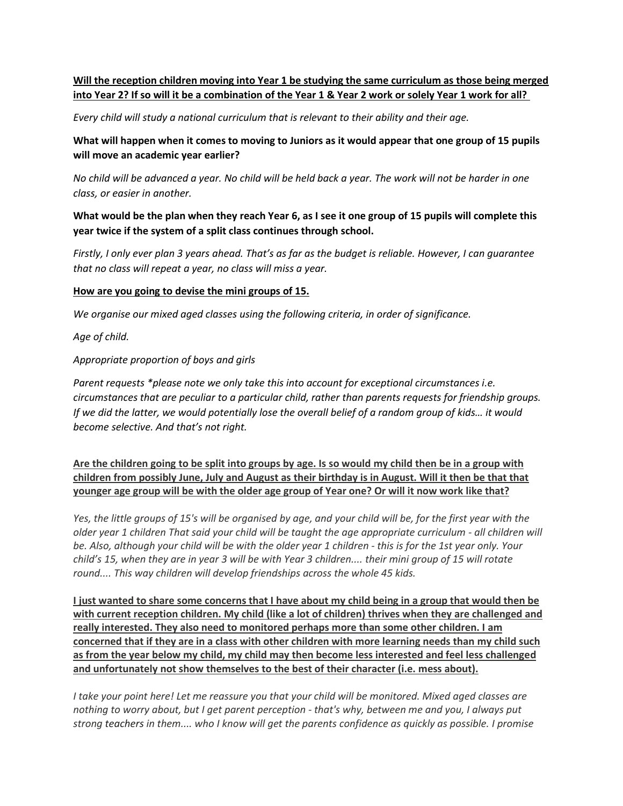## **Will the reception children moving into Year 1 be studying the same curriculum as those being merged into Year 2? If so will it be a combination of the Year 1 & Year 2 work or solely Year 1 work for all?**

*Every child will study a national curriculum that is relevant to their ability and their age.* 

**What will happen when it comes to moving to Juniors as it would appear that one group of 15 pupils will move an academic year earlier?**

*No child will be advanced a year. No child will be held back a year. The work will not be harder in one class, or easier in another.* 

**What would be the plan when they reach Year 6, as I see it one group of 15 pupils will complete this year twice if the system of a split class continues through school.**

*Firstly, I only ever plan 3 years ahead. That's as far as the budget is reliable. However, I can guarantee that no class will repeat a year, no class will miss a year.* 

## **How are you going to devise the mini groups of 15.**

*We organise our mixed aged classes using the following criteria, in order of significance.*

*Age of child.* 

*Appropriate proportion of boys and girls*

*Parent requests \*please note we only take this into account for exceptional circumstances i.e. circumstances that are peculiar to a particular child, rather than parents requests for friendship groups. If we did the latter, we would potentially lose the overall belief of a random group of kids... it would become selective. And that's not right.*

**Are the children going to be split into groups by age. Is so would my child then be in a group with children from possibly June, July and August as their birthday is in August. Will it then be that that younger age group will be with the older age group of Year one? Or will it now work like that?**

*Yes, the little groups of 15's will be organised by age, and your child will be, for the first year with the older year 1 children That said your child will be taught the age appropriate curriculum - all children will be. Also, although your child will be with the older year 1 children - this is for the 1st year only. Your child's 15, when they are in year 3 will be with Year 3 children.... their mini group of 15 will rotate round.... This way children will develop friendships across the whole 45 kids.*

**I just wanted to share some concerns that I have about my child being in a group that would then be with current reception children. My child (like a lot of children) thrives when they are challenged and really interested. They also need to monitored perhaps more than some other children. I am concerned that if they are in a class with other children with more learning needs than my child such as from the year below my child, my child may then become less interested and feel less challenged and unfortunately not show themselves to the best of their character (i.e. mess about).**

*I take your point here! Let me reassure you that your child will be monitored. Mixed aged classes are nothing to worry about, but I get parent perception - that's why, between me and you, I always put strong teachers in them.... who I know will get the parents confidence as quickly as possible. I promise*